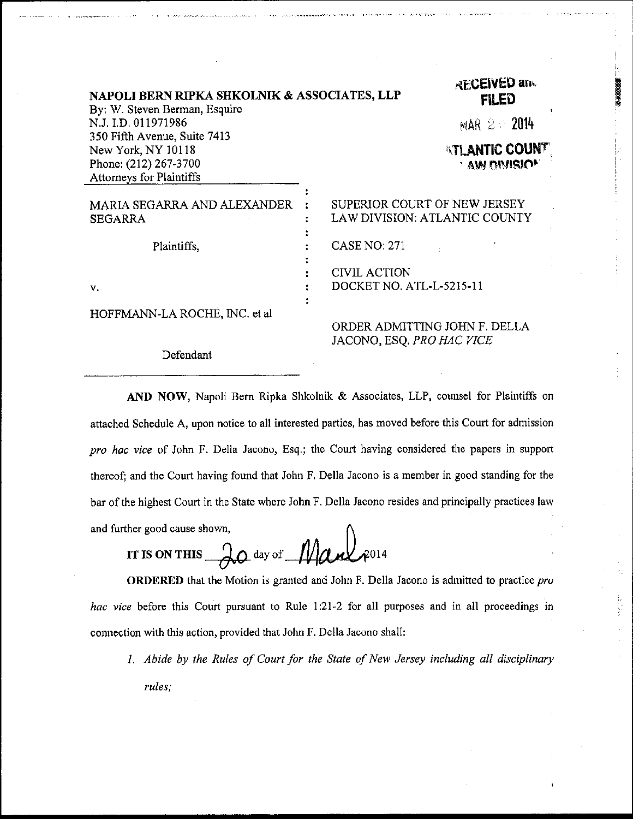| NAPOLI BERN RIPKA SHKOLNIK & ASSOCIATES, LLP<br>By: W. Steven Berman, Esquire |  | <b>RECEIVED and</b><br><b>FILED</b> |
|-------------------------------------------------------------------------------|--|-------------------------------------|
| N.J. I.D. 011971986                                                           |  | $MAR \geq 2014$                     |
| 350 Fifth Avenue, Suite 7413                                                  |  |                                     |
| New York, NY 10118                                                            |  | <b>ATLANTIC COUNT</b>               |
| Phone: (212) 267-3700                                                         |  | <b>AW ONISION</b>                   |
| Attorneys for Plaintiffs                                                      |  |                                     |
|                                                                               |  |                                     |
| MARIA SEGARRA AND ALEXANDER                                                   |  | SUPERIOR COURT OF NEW JERSEY        |
| <b>SEGARRA</b>                                                                |  | LAW DIVISION: ATLANTIC COUNTY       |
|                                                                               |  |                                     |
| Plaintiffs.                                                                   |  | <b>CASE NO: 271</b>                 |
|                                                                               |  |                                     |
|                                                                               |  | <b>CIVIL ACTION</b>                 |
| v.                                                                            |  | DOCKET NO. ATL-L-5215-11            |
|                                                                               |  |                                     |
| HOFFMANN-LA ROCHE, INC. et al                                                 |  |                                     |
|                                                                               |  | ORDER ADMITTING JOHN F. DELLA       |
|                                                                               |  | $-$<br>- 66 A 77 J A 777 A 7        |

Defendant

JACONO, ESQ, PRO HAC VICE

医生物的

AND NOW, Napoli Bern Ripka Shkolnik & Associates, LLP, counsel for Plaintiffs on attached Schedule A, upon notice to all interested parties, has moved beforo this Court for admission pro hac vice of John F. Della Jacono, Esq.; the Court having considered the papers in support thereof; and the Court having found that John F, Della Jacono is a member in good standing for the bar of the highest Court in the State where John F. Della Jacono resides and principally practices law and further good cause shown,

IT IS ON THIS  $\partial\phi$  day of  $\mathcal{M}_{\ell}$ 

ORDERED that the Motion is granted and John F. Della Jacono is admitted to practice pro hac vice before this Court pursuant to Rule  $1:21-2$  for all purposes and in all proceedings in connection with this action, provided that John F. Della Jacono shall:

1, Abide by the Rules of Court for the State of New Jersey including all disciplinary rules;